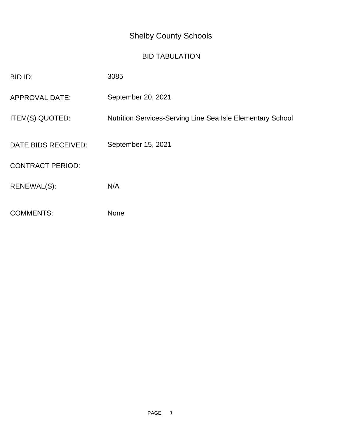## Shelby County Schools

## BID TABULATION

| BID ID:                 | 3085                                                              |
|-------------------------|-------------------------------------------------------------------|
| <b>APPROVAL DATE:</b>   | September 20, 2021                                                |
| ITEM(S) QUOTED:         | <b>Nutrition Services-Serving Line Sea Isle Elementary School</b> |
| DATE BIDS RECEIVED:     | September 15, 2021                                                |
| <b>CONTRACT PERIOD:</b> |                                                                   |
| RENEWAL(S):             | N/A                                                               |
| <b>COMMENTS:</b>        | <b>None</b>                                                       |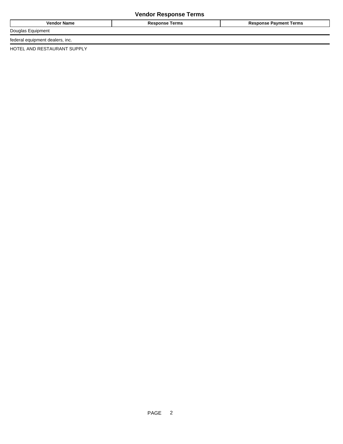## **Vendor Response Terms**

| <b>Name</b><br>Venu | Гerms<br>.<br>`` | Terms<br>™men⊾<br>١c |
|---------------------|------------------|----------------------|
| Dougla              |                  |                      |

federal equipment dealers, inc.

HOTEL AND RESTAURANT SUPPLY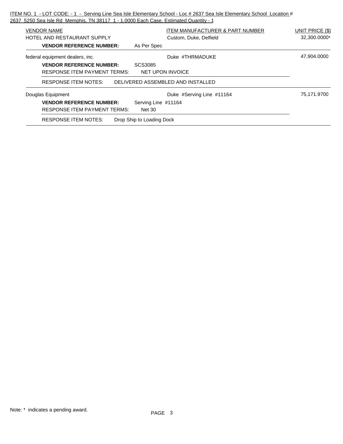ITEM NO. 1 - LOT CODE: - 1 - Serving Line Sea Isle Elementary School - Loc # 2637 Sea Isle Elementary School Location # 2637 5250 Sea Isle Rd Memphis, TN 38117 1 - 1.0000 Each Case, Estimated Quantity - 1

| <b>VENDOR NAME</b><br>HOTEL AND RESTAURANT SUPPLY | ITEM MANUFACTURER & PART NUMBER<br>Custom, Duke, Delfield | <b>UNIT PRICE (\$)</b><br>32,300.0000* |
|---------------------------------------------------|-----------------------------------------------------------|----------------------------------------|
| <b>VENDOR REFERENCE NUMBER:</b>                   | As Per Spec                                               |                                        |
| federal equipment dealers, inc.                   | Duke #THRMADUKE                                           | 47,904.0000                            |
| <b>VENDOR REFERENCE NUMBER:</b>                   | SCS3085                                                   |                                        |
| <b>RESPONSE ITEM PAYMENT TERMS:</b>               | NET UPON INVOICE                                          |                                        |
| <b>RESPONSE ITEM NOTES:</b>                       | DELIVERED ASSEMBLED AND INSTALLED                         |                                        |
| Douglas Equipment                                 | Duke #Serving Line #11164                                 | 75,171.9700                            |
| <b>VENDOR REFERENCE NUMBER:</b>                   | Serving Line #11164                                       |                                        |
| <b>RESPONSE ITEM PAYMENT TERMS:</b>               | <b>Net 30</b>                                             |                                        |
| <b>RESPONSE ITEM NOTES:</b>                       | Drop Ship to Loading Dock                                 |                                        |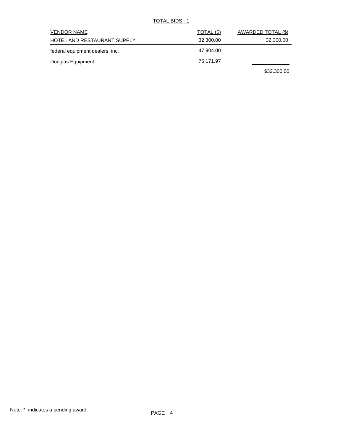TOTAL BIDS - 1

| <b>VENDOR NAME</b>              | TOTAL (\$) | AWARDED TOTAL (\$) |
|---------------------------------|------------|--------------------|
| HOTEL AND RESTAURANT SUPPLY     | 32,300.00  | 32,300.00          |
| federal equipment dealers, inc. | 47,904.00  |                    |
| Douglas Equipment               | 75,171.97  |                    |
|                                 |            | \$32,300.00        |